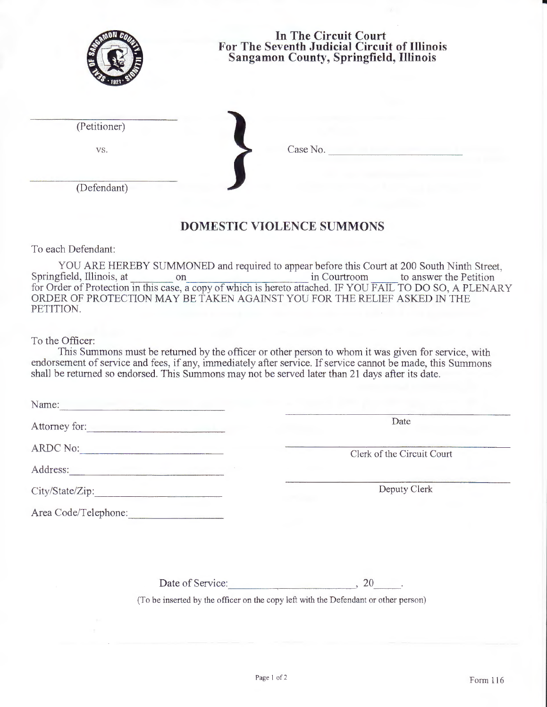| In The Circuit Court<br>For The Seventh Judicial Circuit of Illinois<br><b>Sangamon County, Springfield, Illinois</b>                                                                                                              |                                                                                                                                       |  |  |  |
|------------------------------------------------------------------------------------------------------------------------------------------------------------------------------------------------------------------------------------|---------------------------------------------------------------------------------------------------------------------------------------|--|--|--|
| (Petitioner)                                                                                                                                                                                                                       |                                                                                                                                       |  |  |  |
| VS.                                                                                                                                                                                                                                | Case No.                                                                                                                              |  |  |  |
| (Defendant)                                                                                                                                                                                                                        |                                                                                                                                       |  |  |  |
|                                                                                                                                                                                                                                    | <b>DOMESTIC VIOLENCE SUMMONS</b>                                                                                                      |  |  |  |
| To each Defendant:                                                                                                                                                                                                                 |                                                                                                                                       |  |  |  |
| Springfield, Illinois, at<br>ORDER OF PROTECTION MAY BE TAKEN AGAINST YOU FOR THE RELIEF ASKED IN THE<br>PETITION.                                                                                                                 | YOU ARE HEREBY SUMMONED and required to appear before this Court at 200 South Ninth Street,<br>in Courtroom<br>to answer the Petition |  |  |  |
| To the Officer:<br>endorsement of service and fees, if any, immediately after service. If service cannot be made, this Summons<br>shall be returned so endorsed. This Summons may not be served later than 21 days after its date. | This Summons must be returned by the officer or other person to whom it was given for service, with                                   |  |  |  |
| Name:                                                                                                                                                                                                                              |                                                                                                                                       |  |  |  |
| Attorney for:                                                                                                                                                                                                                      | Date                                                                                                                                  |  |  |  |
| ARDC No:                                                                                                                                                                                                                           |                                                                                                                                       |  |  |  |
| Address: Management of the Management of the Management of the Management of the Management of the Management of the Management of the Management of the Management of the Management of the Management of the Management of t     | Clerk of the Circuit Court                                                                                                            |  |  |  |
| City/State/Zip:                                                                                                                                                                                                                    | Deputy Clerk                                                                                                                          |  |  |  |
| Area Code/Telephone:                                                                                                                                                                                                               |                                                                                                                                       |  |  |  |
|                                                                                                                                                                                                                                    |                                                                                                                                       |  |  |  |

Date of Service:  $\qquad \qquad \qquad$  , 20

(To be inserted by the officer on the copy left with the Defendant or other person)

•